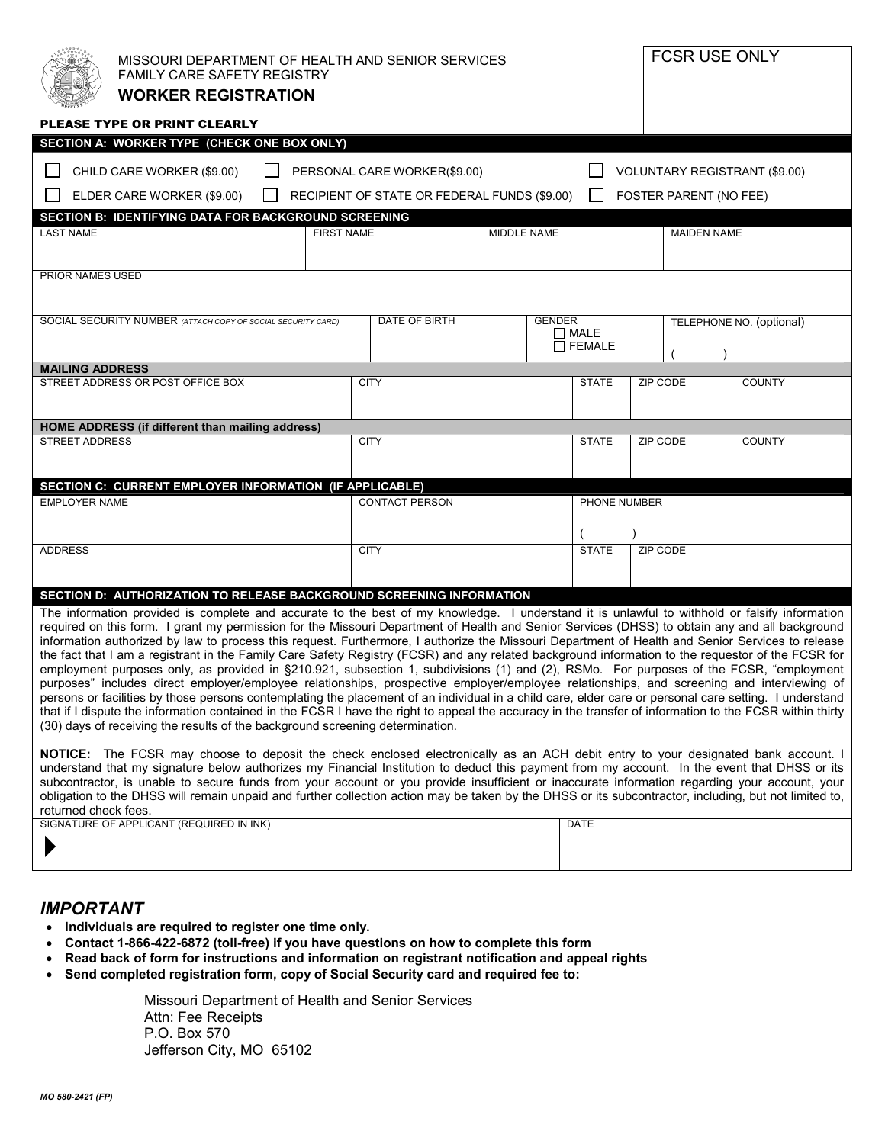| MISSOURI DEPARTMENT OF HEALTH AND SENIOR SERVICES<br>FAMILY CARE SAFETY REGISTRY<br><b>WORKER REGISTRATION</b>                                                                                                                                                                                                                                                                                                                                                                                                                                                                                                                                                                                                                                                                                                                                                                                                                                                                                                                                                                                                                                                                                                                                                                                                                                                                 |                                                                              |                                               | FCSR USE ONLY                                                         |  |
|--------------------------------------------------------------------------------------------------------------------------------------------------------------------------------------------------------------------------------------------------------------------------------------------------------------------------------------------------------------------------------------------------------------------------------------------------------------------------------------------------------------------------------------------------------------------------------------------------------------------------------------------------------------------------------------------------------------------------------------------------------------------------------------------------------------------------------------------------------------------------------------------------------------------------------------------------------------------------------------------------------------------------------------------------------------------------------------------------------------------------------------------------------------------------------------------------------------------------------------------------------------------------------------------------------------------------------------------------------------------------------|------------------------------------------------------------------------------|-----------------------------------------------|-----------------------------------------------------------------------|--|
| PLEASE TYPE OR PRINT CLEARLY                                                                                                                                                                                                                                                                                                                                                                                                                                                                                                                                                                                                                                                                                                                                                                                                                                                                                                                                                                                                                                                                                                                                                                                                                                                                                                                                                   |                                                                              |                                               |                                                                       |  |
| SECTION A: WORKER TYPE (CHECK ONE BOX ONLY)                                                                                                                                                                                                                                                                                                                                                                                                                                                                                                                                                                                                                                                                                                                                                                                                                                                                                                                                                                                                                                                                                                                                                                                                                                                                                                                                    |                                                                              |                                               |                                                                       |  |
| CHILD CARE WORKER (\$9.00)<br>ELDER CARE WORKER (\$9.00)                                                                                                                                                                                                                                                                                                                                                                                                                                                                                                                                                                                                                                                                                                                                                                                                                                                                                                                                                                                                                                                                                                                                                                                                                                                                                                                       | PERSONAL CARE WORKER(\$9.00)<br>RECIPIENT OF STATE OR FEDERAL FUNDS (\$9.00) |                                               | <b>VOLUNTARY REGISTRANT (\$9.00)</b><br><b>FOSTER PARENT (NO FEE)</b> |  |
| <b>SECTION B: IDENTIFYING DATA FOR BACKGROUND SCREENING</b>                                                                                                                                                                                                                                                                                                                                                                                                                                                                                                                                                                                                                                                                                                                                                                                                                                                                                                                                                                                                                                                                                                                                                                                                                                                                                                                    |                                                                              |                                               |                                                                       |  |
| <b>LAST NAME</b>                                                                                                                                                                                                                                                                                                                                                                                                                                                                                                                                                                                                                                                                                                                                                                                                                                                                                                                                                                                                                                                                                                                                                                                                                                                                                                                                                               | <b>FIRST NAME</b>                                                            | <b>MIDDLE NAME</b>                            | <b>MAIDEN NAME</b>                                                    |  |
| <b>PRIOR NAMES USED</b>                                                                                                                                                                                                                                                                                                                                                                                                                                                                                                                                                                                                                                                                                                                                                                                                                                                                                                                                                                                                                                                                                                                                                                                                                                                                                                                                                        |                                                                              |                                               |                                                                       |  |
|                                                                                                                                                                                                                                                                                                                                                                                                                                                                                                                                                                                                                                                                                                                                                                                                                                                                                                                                                                                                                                                                                                                                                                                                                                                                                                                                                                                |                                                                              |                                               |                                                                       |  |
| SOCIAL SECURITY NUMBER (ATTACH COPY OF SOCIAL SECURITY CARD)                                                                                                                                                                                                                                                                                                                                                                                                                                                                                                                                                                                                                                                                                                                                                                                                                                                                                                                                                                                                                                                                                                                                                                                                                                                                                                                   | DATE OF BIRTH                                                                | <b>GENDER</b><br>$\Box$ MALE<br>$\Box$ FEMALE | TELEPHONE NO. (optional)                                              |  |
| <b>MAILING ADDRESS</b>                                                                                                                                                                                                                                                                                                                                                                                                                                                                                                                                                                                                                                                                                                                                                                                                                                                                                                                                                                                                                                                                                                                                                                                                                                                                                                                                                         |                                                                              |                                               |                                                                       |  |
| STREET ADDRESS OR POST OFFICE BOX                                                                                                                                                                                                                                                                                                                                                                                                                                                                                                                                                                                                                                                                                                                                                                                                                                                                                                                                                                                                                                                                                                                                                                                                                                                                                                                                              | <b>CITY</b>                                                                  | <b>STATE</b>                                  | <b>ZIP CODE</b><br><b>COUNTY</b>                                      |  |
| HOME ADDRESS (if different than mailing address)                                                                                                                                                                                                                                                                                                                                                                                                                                                                                                                                                                                                                                                                                                                                                                                                                                                                                                                                                                                                                                                                                                                                                                                                                                                                                                                               |                                                                              |                                               |                                                                       |  |
| <b>STREET ADDRESS</b>                                                                                                                                                                                                                                                                                                                                                                                                                                                                                                                                                                                                                                                                                                                                                                                                                                                                                                                                                                                                                                                                                                                                                                                                                                                                                                                                                          | <b>CITY</b>                                                                  | <b>STATE</b>                                  | ZIP CODE<br><b>COUNTY</b>                                             |  |
| SECTION C: CURRENT EMPLOYER INFORMATION (IF APPLICABLE)<br><b>EMPLOYER NAME</b>                                                                                                                                                                                                                                                                                                                                                                                                                                                                                                                                                                                                                                                                                                                                                                                                                                                                                                                                                                                                                                                                                                                                                                                                                                                                                                | <b>CONTACT PERSON</b>                                                        | PHONE NUMBER                                  |                                                                       |  |
|                                                                                                                                                                                                                                                                                                                                                                                                                                                                                                                                                                                                                                                                                                                                                                                                                                                                                                                                                                                                                                                                                                                                                                                                                                                                                                                                                                                |                                                                              |                                               |                                                                       |  |
|                                                                                                                                                                                                                                                                                                                                                                                                                                                                                                                                                                                                                                                                                                                                                                                                                                                                                                                                                                                                                                                                                                                                                                                                                                                                                                                                                                                |                                                                              |                                               |                                                                       |  |
| <b>ADDRESS</b>                                                                                                                                                                                                                                                                                                                                                                                                                                                                                                                                                                                                                                                                                                                                                                                                                                                                                                                                                                                                                                                                                                                                                                                                                                                                                                                                                                 | <b>CITY</b>                                                                  | <b>STATE</b>                                  | <b>ZIP CODE</b>                                                       |  |
|                                                                                                                                                                                                                                                                                                                                                                                                                                                                                                                                                                                                                                                                                                                                                                                                                                                                                                                                                                                                                                                                                                                                                                                                                                                                                                                                                                                |                                                                              |                                               |                                                                       |  |
| SECTION D: AUTHORIZATION TO RELEASE BACKGROUND SCREENING INFORMATION<br>The information provided is complete and accurate to the best of my knowledge. I understand it is unlawful to withhold or falsify information<br>required on this form. I grant my permission for the Missouri Department of Health and Senior Services (DHSS) to obtain any and all background<br>information authorized by law to process this request. Furthermore, I authorize the Missouri Department of Health and Senior Services to release<br>the fact that I am a registrant in the Family Care Safety Registry (FCSR) and any related background information to the requestor of the FCSR for<br>employment purposes only, as provided in §210.921, subsection 1, subdivisions (1) and (2), RSMo. For purposes of the FCSR, "employment<br>purposes" includes direct employer/employee relationships, prospective employer/employee relationships, and screening and interviewing of<br>persons or facilities by those persons contemplating the placement of an individual in a child care, elder care or personal care setting. I understand<br>that if I dispute the information contained in the FCSR I have the right to appeal the accuracy in the transfer of information to the FCSR within thirty<br>(30) days of receiving the results of the background screening determination. |                                                                              |                                               |                                                                       |  |
| <b>NOTICE:</b> The FCSR may choose to deposit the check enclosed electronically as an ACH debit entry to your designated bank account. I<br>understand that my signature below authorizes my Financial Institution to deduct this payment from my account. In the event that DHSS or its<br>subcontractor, is unable to secure funds from your account or you provide insufficient or inaccurate information regarding your account, your                                                                                                                                                                                                                                                                                                                                                                                                                                                                                                                                                                                                                                                                                                                                                                                                                                                                                                                                      |                                                                              |                                               |                                                                       |  |

subcontractor, is unable to secure funds from your account or you provide insufficient or inaccurate information regarding your account, your obligation to the DHSS will remain unpaid and further collection action may be taken by the DHSS or its subcontractor, including, but not limited to, returned check fees.

| SIGNATURE OF APPLICANT (REQUIRED IN INK) | DATE |
|------------------------------------------|------|
|                                          |      |
|                                          |      |

# *IMPORTANT*

- **Individuals are required to register one time only.**
- **Contact 1-866-422-6872 (toll-free) if you have questions on how to complete this form**
- **Read back of form for instructions and information on registrant notification and appeal rights**
- **Send completed registration form, copy of Social Security card and required fee to:**

 Missouri Department of Health and Senior Services Attn: Fee Receipts P.O. Box 570 Jefferson City, MO 65102